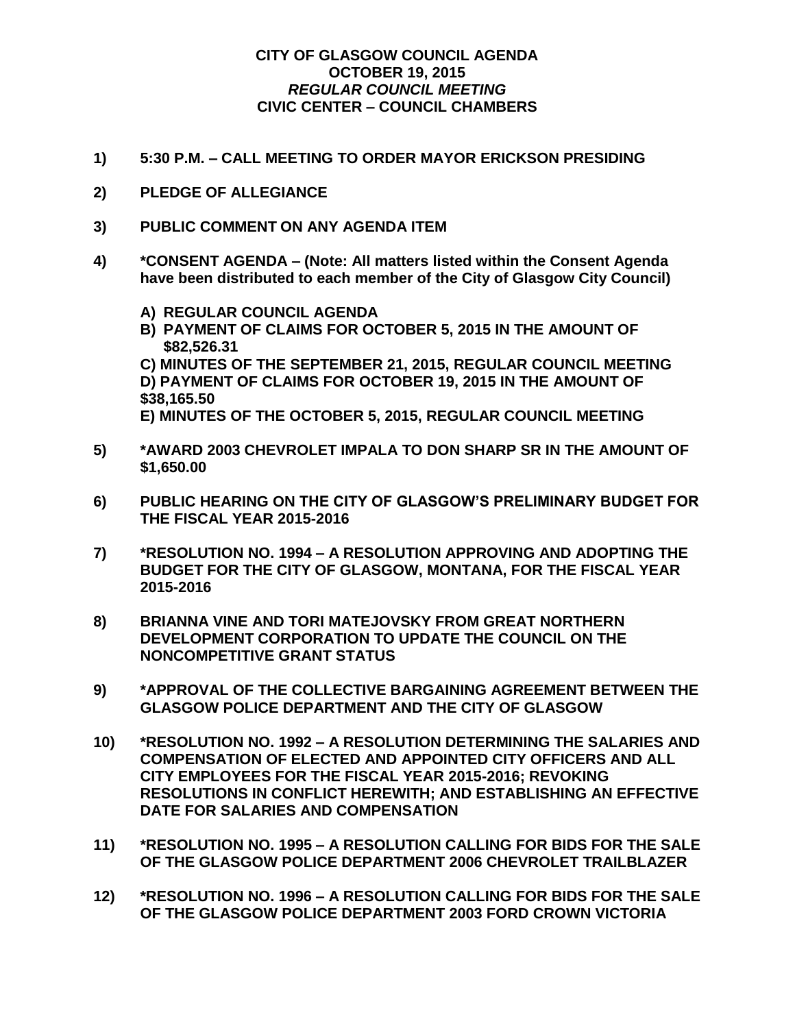## **CITY OF GLASGOW COUNCIL AGENDA OCTOBER 19, 2015** *REGULAR COUNCIL MEETING* **CIVIC CENTER – COUNCIL CHAMBERS**

- **1) 5:30 P.M. – CALL MEETING TO ORDER MAYOR ERICKSON PRESIDING**
- **2) PLEDGE OF ALLEGIANCE**
- **3) PUBLIC COMMENT ON ANY AGENDA ITEM**
- **4) \*CONSENT AGENDA – (Note: All matters listed within the Consent Agenda have been distributed to each member of the City of Glasgow City Council)**
	- **A) REGULAR COUNCIL AGENDA**
	- **B) PAYMENT OF CLAIMS FOR OCTOBER 5, 2015 IN THE AMOUNT OF \$82,526.31 C) MINUTES OF THE SEPTEMBER 21, 2015, REGULAR COUNCIL MEETING D) PAYMENT OF CLAIMS FOR OCTOBER 19, 2015 IN THE AMOUNT OF \$38,165.50 E) MINUTES OF THE OCTOBER 5, 2015, REGULAR COUNCIL MEETING**
- **5) \*AWARD 2003 CHEVROLET IMPALA TO DON SHARP SR IN THE AMOUNT OF \$1,650.00**
- **6) PUBLIC HEARING ON THE CITY OF GLASGOW'S PRELIMINARY BUDGET FOR THE FISCAL YEAR 2015-2016**
- **7) \*RESOLUTION NO. 1994 – A RESOLUTION APPROVING AND ADOPTING THE BUDGET FOR THE CITY OF GLASGOW, MONTANA, FOR THE FISCAL YEAR 2015-2016**
- **8) BRIANNA VINE AND TORI MATEJOVSKY FROM GREAT NORTHERN DEVELOPMENT CORPORATION TO UPDATE THE COUNCIL ON THE NONCOMPETITIVE GRANT STATUS**
- **9) \*APPROVAL OF THE COLLECTIVE BARGAINING AGREEMENT BETWEEN THE GLASGOW POLICE DEPARTMENT AND THE CITY OF GLASGOW**
- **10) \*RESOLUTION NO. 1992 – A RESOLUTION DETERMINING THE SALARIES AND COMPENSATION OF ELECTED AND APPOINTED CITY OFFICERS AND ALL CITY EMPLOYEES FOR THE FISCAL YEAR 2015-2016; REVOKING RESOLUTIONS IN CONFLICT HEREWITH; AND ESTABLISHING AN EFFECTIVE DATE FOR SALARIES AND COMPENSATION**
- **11) \*RESOLUTION NO. 1995 – A RESOLUTION CALLING FOR BIDS FOR THE SALE OF THE GLASGOW POLICE DEPARTMENT 2006 CHEVROLET TRAILBLAZER**
- **12) \*RESOLUTION NO. 1996 – A RESOLUTION CALLING FOR BIDS FOR THE SALE OF THE GLASGOW POLICE DEPARTMENT 2003 FORD CROWN VICTORIA**